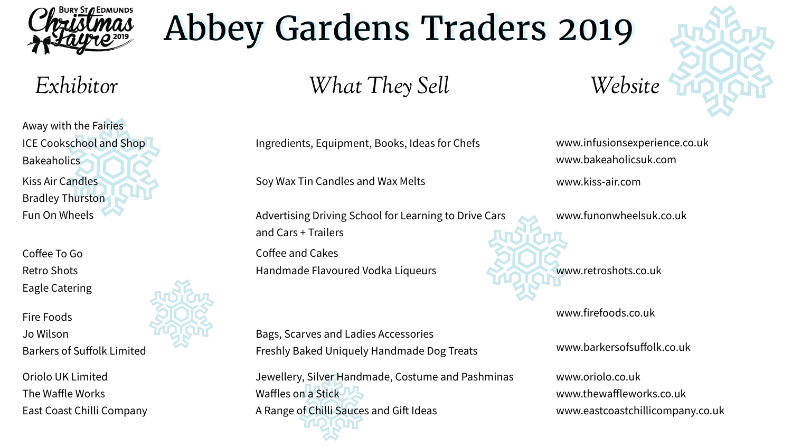www.infusionsexperience.co.uk www.bakeaholicsuk.com

Away with the Fairies ICE Cookschool and Shop **Bakeaholics** Kiss Air Candles Bradley Thurston Fun On Wheels

Ingredients, Equipment, Books, Ideas for Chefs

www.kiss-air.com

www.funonwheelsuk.co.uk

Soy Wax Tin Candles and Wax Melts

Advertising Driving School for Learning to Drive Cars and Cars + Trailers

Coffee To Go Retro Shots Eagle Catering

> Jewellery, Silver Handmade, Costume and Pashminas Waffles on a Stick A Range of Chilli Sauces and Gift Ideas

## Abbey Gardens Traders 2019

www.retroshots.co.uk

Coffee and Cakes Handmade Flavoured Vodka Liqueurs

Fire Foods Jo Wilson Barkers of Suffolk Limited www.firefoods.co.uk

www.barkersofsuffolk.co.uk

Bags, Scarves and Ladies Accessories Freshly Baked Uniquely Handmade Dog Treats

Oriolo UK Limited The Waffle Works East Coast Chilli Company



www.oriolo.co.uk www.thewaffleworks.co.uk www.eastcoastchillicompany.co.uk







*Exhibitor What They Sell Website*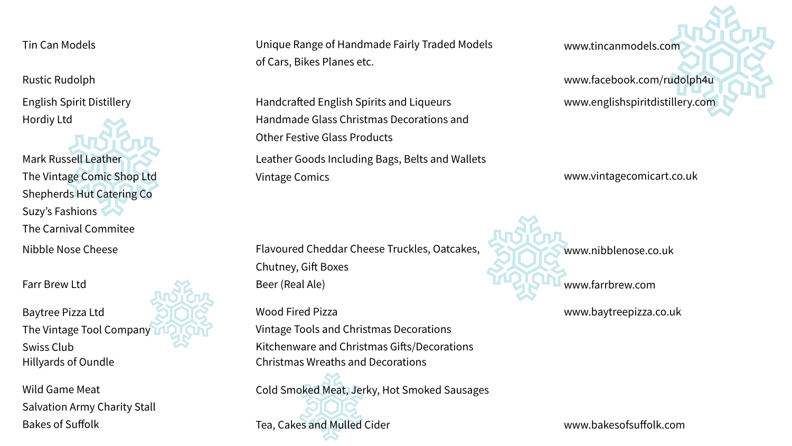Tin Can Models

Rustic Rudolph

Unique Range of Handmade Fairly Traded Models of Cars, Bikes Planes etc.

www.tincanmodels.com

English Spirit Distillery Hordiy Ltd

www.facebook.com/rudolph4u www.englishspiritdistillery.com

Handcrafed English Spirits and Liqueurs Handmade Glass Christmas Decorations and Other Festive Glass Products

Mark Russell Leather The Vintage Comic Shop Ltd Shepherds Hut Catering Co Suzy's Fashions The Carnival Commitee Nibble Nose Cheese

Kitchenware and Christmas Gifts/Decorations Hillyards of Oundle Christmas Wreaths and Decorations

Leather Goods Including Bags, Belts and Wallets Vintage Comics www.vintagecomicart.co.uk

Farr Brew Ltd

Flavoured Cheddar Cheese Truckles, Oatcakes, Chutney, Gift Boxes Beer (Real Ale)

www.nibblenose.co.uk

www.farrbrew.com

Baytree Pizza Ltd The Vintage Tool Company Swiss Club

Wood Fired Pizza

Vintage Tools and Christmas Decorations

www.baytreepizza.co.uk



Wild Game Meat Salvation Army Charity Stall Bakes of Suffolk

Cold Smoked Meat, Jerky, Hot Smoked Sausages

Tea, Cakes and Mulled Cider www.bakesofsuffolk.com

- 
-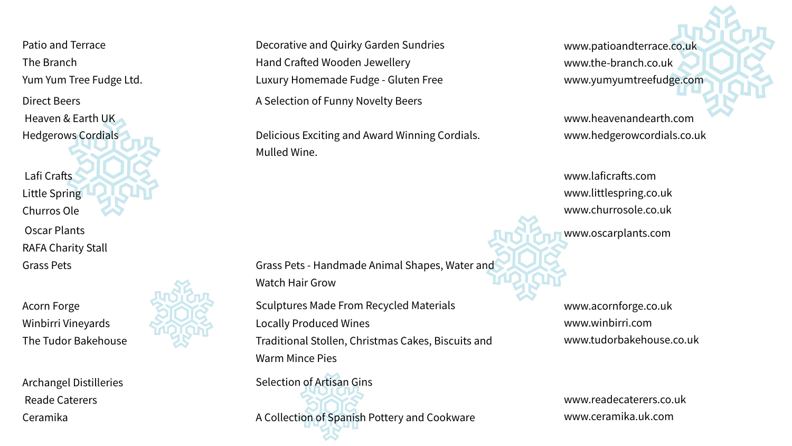Patio and Terrace The Branch Yum Yum Tree Fudge Ltd.

Direct Beers Heaven & Earth UK Hedgerows Cordials

Decorative and Quirky Garden Sundries Hand Crafted Wooden Jewellery Luxury Homemade Fudge - Gluten Free A Selection of Funny Novelty Beers

> www.laficrafts.com www.littlespring.co.uk www.churrosole.co.uk

Delicious Exciting and Award Winning Cordials. Mulled Wine.

Lafi Crafts Little Spring Churros Ole Oscar Plants RAFA Charity Stall Grass Pets

www.patioandterrace.co.uk www.the-branch.co.uk www.yumyumtreefudge.com

www.heavenandearth.com www.hedgerowcordials.co.uk

Grass Pets - Handmade Animal Shapes, Water and Watch Hair Grow

> www.acornforge.co.uk www.winbirri.com www.tudorbakehouse.co.uk

Sculptures Made From Recycled Materials Locally Produced Wines Traditional Stollen, Christmas Cakes, Biscuits and Warm Mince Pies

Acorn Forge Winbirri Vineyards The Tudor Bakehouse

Archangel Distilleries Reade Caterers Ceramika

Selection of Artisan Gins

A Collection of Spanish Pottery and Cookware

www.readecaterers.co.uk www.ceramika.uk.com



www.oscarplants.com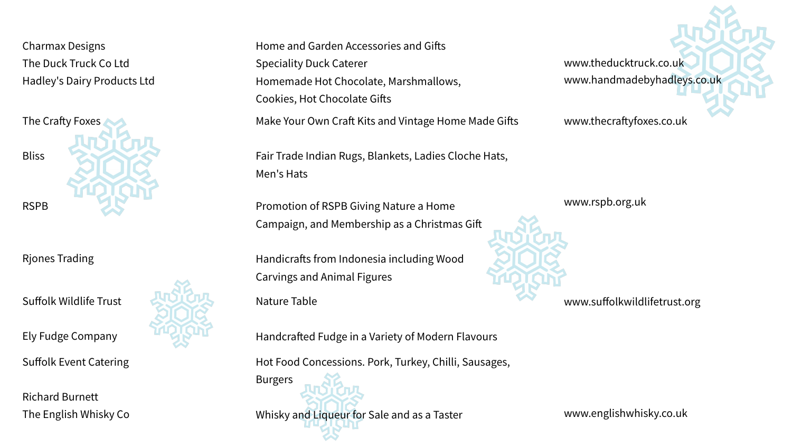Charmax Designs The Duck Truck Co Ltd Hadley's Dairy Products Ltd

www.theducktruck.co.uk www.handmadebyhadleys.co.uk

www.thecraftyfoxes.co.uk

Handicrafts from Indonesia including Wood Carvings and Animal Figures



Fair Trade Indian Rugs, Blankets, Ladies Cloche Hats, Men's Hats

Rjones Trading

Promotion of RSPB Giving Nature a Home Campaign, and Membership as a Christmas Gif www.rspb.org.uk

Suffolk Wildlife Trust

Ely Fudge Company

Nature Table

Handcrafed Fudge in a Variety of Modern Flavours

www.suffolkwildlifetrust.org





Suffolk Event Catering

Richard Burnett The English Whisky Co



Home and Garden Accessories and Gifts Speciality Duck Caterer Homemade Hot Chocolate, Marshmallows, Cookies, Hot Chocolate Gifts

Hot Food Concessions. Pork, Turkey, Chilli, Sausages,

Burgers

Whisky and Liqueur for Sale and as a Taster www.englishwhisky.co.uk

Make Your Own Craft Kits and Vintage Home Made Gifts